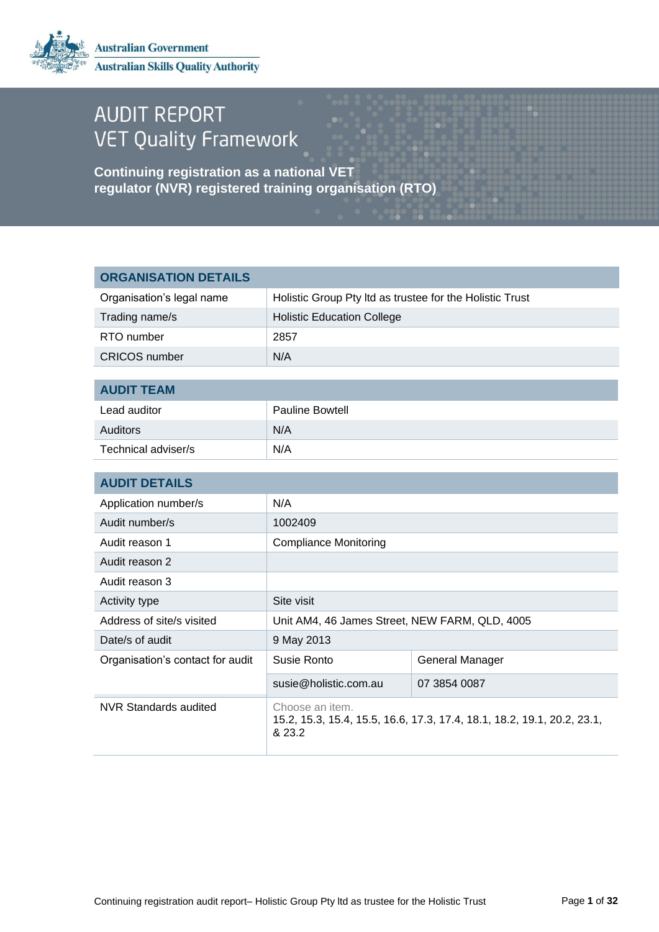

# **AUDIT REPORT VET Quality Framework**

**Continuing registration as a national VET regulator (NVR) registered training organisation (RTO)**

| <b>ORGANISATION DETAILS</b>      |                                                                                                      |                 |  |
|----------------------------------|------------------------------------------------------------------------------------------------------|-----------------|--|
| Organisation's legal name        | Holistic Group Pty Itd as trustee for the Holistic Trust                                             |                 |  |
| Trading name/s                   | <b>Holistic Education College</b>                                                                    |                 |  |
| RTO number                       | 2857                                                                                                 |                 |  |
| <b>CRICOS</b> number             | N/A                                                                                                  |                 |  |
|                                  |                                                                                                      |                 |  |
|                                  | <b>AUDIT TEAM</b>                                                                                    |                 |  |
| Lead auditor                     | <b>Pauline Bowtell</b>                                                                               |                 |  |
| Auditors                         | N/A                                                                                                  |                 |  |
| Technical adviser/s              | N/A                                                                                                  |                 |  |
|                                  |                                                                                                      |                 |  |
| <b>AUDIT DETAILS</b>             |                                                                                                      |                 |  |
| Application number/s             | N/A                                                                                                  |                 |  |
| Audit number/s                   | 1002409                                                                                              |                 |  |
| Audit reason 1                   | <b>Compliance Monitoring</b>                                                                         |                 |  |
| Audit reason 2                   |                                                                                                      |                 |  |
| Audit reason 3                   |                                                                                                      |                 |  |
| Activity type                    | Site visit                                                                                           |                 |  |
| Address of site/s visited        | Unit AM4, 46 James Street, NEW FARM, QLD, 4005                                                       |                 |  |
| Date/s of audit                  | 9 May 2013                                                                                           |                 |  |
| Organisation's contact for audit | Susie Ronto                                                                                          | General Manager |  |
|                                  | susie@holistic.com.au                                                                                | 07 3854 0087    |  |
| <b>NVR Standards audited</b>     | Choose an item.<br>15.2, 15.3, 15.4, 15.5, 16.6, 17.3, 17.4, 18.1, 18.2, 19.1, 20.2, 23.1,<br>& 23.2 |                 |  |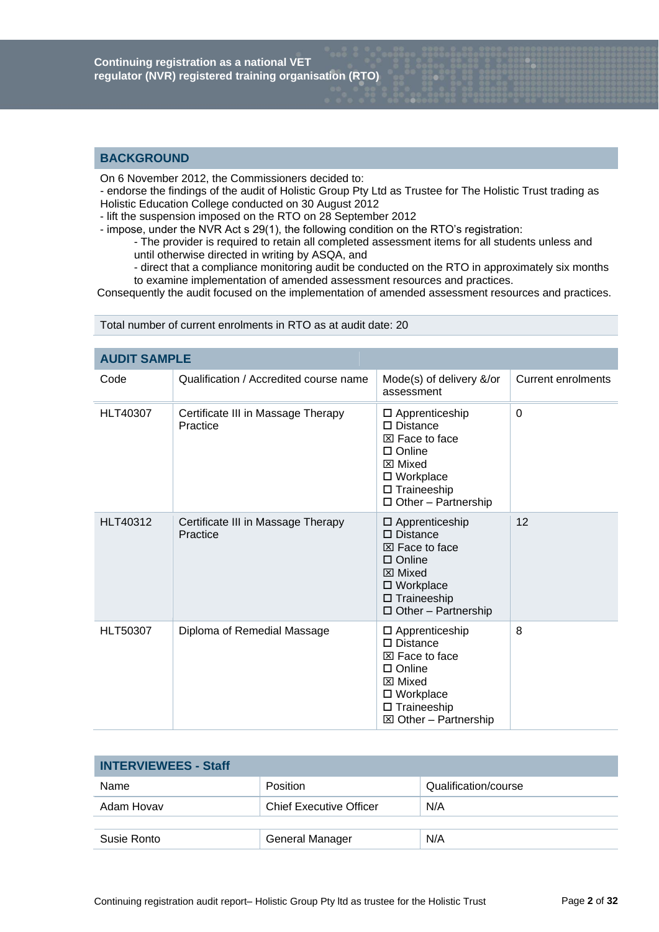# **BACKGROUND**

On 6 November 2012, the Commissioners decided to:

 - endorse the findings of the audit of Holistic Group Pty Ltd as Trustee for The Holistic Trust trading as Holistic Education College conducted on 30 August 2012

- lift the suspension imposed on the RTO on 28 September 2012

- impose, under the NVR Act s 29(1), the following condition on the RTO's registration:

- The provider is required to retain all completed assessment items for all students unless and until otherwise directed in writing by ASQA, and

- direct that a compliance monitoring audit be conducted on the RTO in approximately six months to examine implementation of amended assessment resources and practices.

Consequently the audit focused on the implementation of amended assessment resources and practices.

| <b>AUDIT SAMPLE</b> |                                                |                                                                                                                                                                                        |                           |
|---------------------|------------------------------------------------|----------------------------------------------------------------------------------------------------------------------------------------------------------------------------------------|---------------------------|
| Code                | Qualification / Accredited course name         | Mode(s) of delivery &/or<br>assessment                                                                                                                                                 | <b>Current enrolments</b> |
| <b>HLT40307</b>     | Certificate III in Massage Therapy<br>Practice | □ Apprenticeship<br>$\square$ Distance<br>$\boxtimes$ Face to face<br>$\Box$ Online<br>$\boxtimes$ Mixed<br>□ Workplace<br>$\square$ Traineeship<br>$\Box$ Other - Partnership         | $\Omega$                  |
| <b>HLT40312</b>     | Certificate III in Massage Therapy<br>Practice | $\square$ Apprenticeship<br>$\square$ Distance<br>$\boxtimes$ Face to face<br>$\Box$ Online<br>$\boxtimes$ Mixed<br>□ Workplace<br>$\square$ Traineeship<br>$\Box$ Other - Partnership | 12                        |
| <b>HLT50307</b>     | Diploma of Remedial Massage                    | $\square$ Apprenticeship<br>$\square$ Distance<br>⊠ Face to face<br>$\Box$ Online<br>⊠ Mixed<br>□ Workplace<br>□ Traineeship<br>$\boxtimes$ Other - Partnership                        | 8                         |

Total number of current enrolments in RTO as at audit date: 20

| <b>INTERVIEWEES - Staff</b> |                                |                      |
|-----------------------------|--------------------------------|----------------------|
| Name                        | <b>Position</b>                | Qualification/course |
| Adam Hovav                  | <b>Chief Executive Officer</b> | N/A                  |
|                             |                                |                      |
| Susie Ronto                 | General Manager                | N/A                  |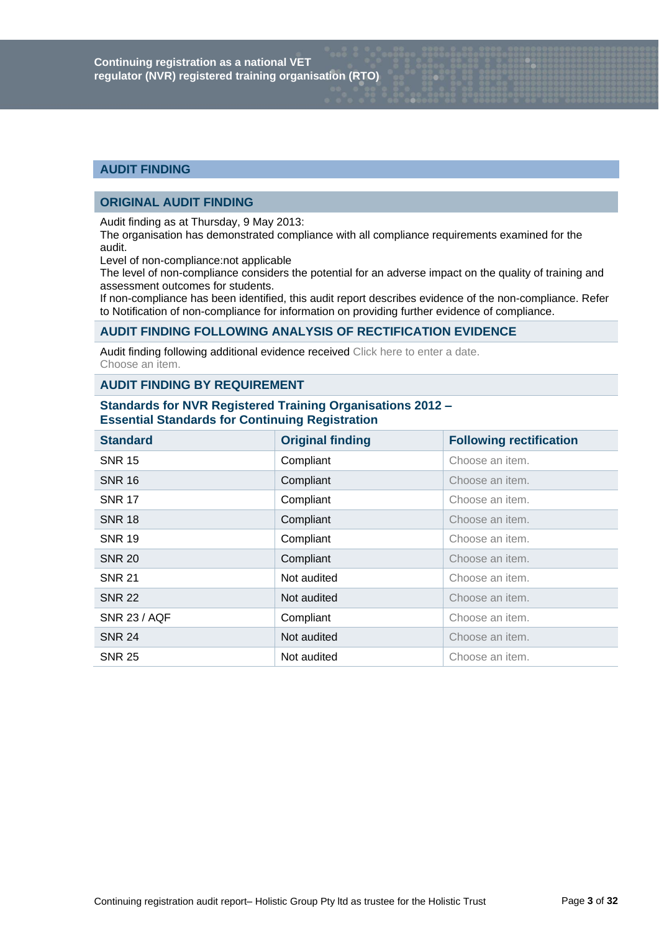# **AUDIT FINDING**

# **ORIGINAL AUDIT FINDING**

Audit finding as at Thursday, 9 May 2013:

The organisation has demonstrated compliance with all compliance requirements examined for the audit.

Level of non-compliance:not applicable

The level of non-compliance considers the potential for an adverse impact on the quality of training and assessment outcomes for students.

If non-compliance has been identified, this audit report describes evidence of the non-compliance. Refer to Notification of non-compliance for information on providing further evidence of compliance.

# **AUDIT FINDING FOLLOWING ANALYSIS OF RECTIFICATION EVIDENCE**

Audit finding following additional evidence received Click here to enter a date. Choose an item.

# **AUDIT FINDING BY REQUIREMENT**

# **Standards for NVR Registered Training Organisations 2012 – Essential Standards for Continuing Registration**

| <b>Standard</b>     | <b>Original finding</b> | <b>Following rectification</b> |
|---------------------|-------------------------|--------------------------------|
| <b>SNR 15</b>       | Compliant               | Choose an item.                |
| <b>SNR 16</b>       | Compliant               | Choose an item.                |
| <b>SNR 17</b>       | Compliant               | Choose an item.                |
| <b>SNR 18</b>       | Compliant               | Choose an item.                |
| <b>SNR 19</b>       | Compliant               | Choose an item.                |
| <b>SNR 20</b>       | Compliant               | Choose an item.                |
| <b>SNR 21</b>       | Not audited             | Choose an item.                |
| <b>SNR 22</b>       | Not audited             | Choose an item.                |
| <b>SNR 23 / AQF</b> | Compliant               | Choose an item.                |
| <b>SNR 24</b>       | Not audited             | Choose an item.                |
| <b>SNR 25</b>       | Not audited             | Choose an item.                |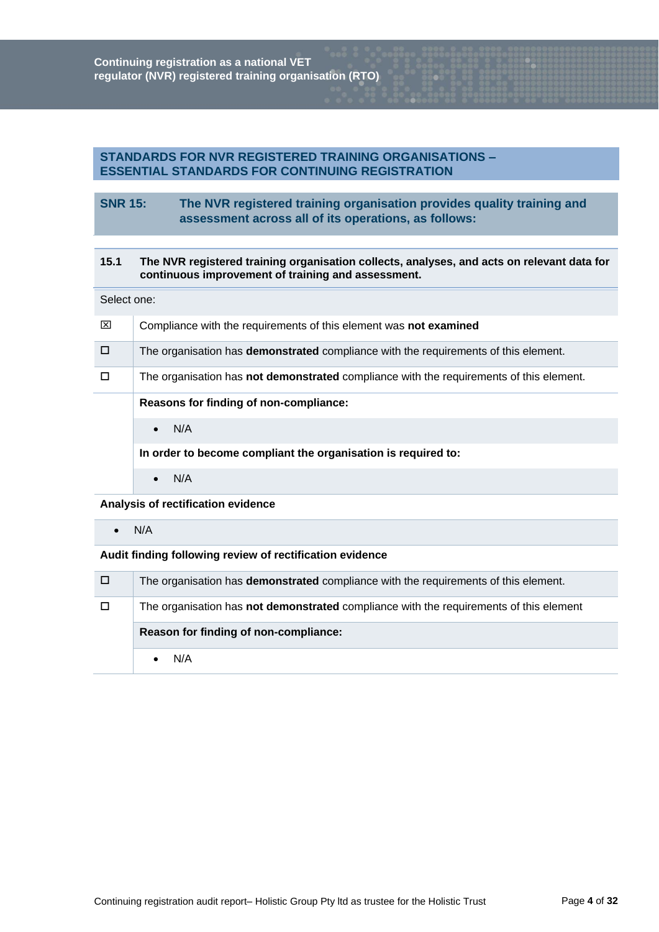# **STANDARDS FOR NVR REGISTERED TRAINING ORGANISATIONS – ESSENTIAL STANDARDS FOR CONTINUING REGISTRATION**

# **SNR 15: The NVR registered training organisation provides quality training and assessment across all of its operations, as follows:**

# **15.1 The NVR registered training organisation collects, analyses, and acts on relevant data for continuous improvement of training and assessment.**

#### Select one:

| ⊠      | Compliance with the requirements of this element was not examined                              |
|--------|------------------------------------------------------------------------------------------------|
| $\Box$ | The organisation has <b>demonstrated</b> compliance with the requirements of this element.     |
| $\Box$ | The organisation has <b>not demonstrated</b> compliance with the requirements of this element. |
|        | Reasons for finding of non-compliance:                                                         |
|        |                                                                                                |
|        | N/A<br>$\bullet$                                                                               |
|        | In order to become compliant the organisation is required to:                                  |

 $\bullet$  N/A

## **Analysis of rectification evidence**

#### $\bullet$  N/A

| □      | The organisation has <b>demonstrated</b> compliance with the requirements of this element.    |
|--------|-----------------------------------------------------------------------------------------------|
| $\Box$ | The organisation has <b>not demonstrated</b> compliance with the requirements of this element |
|        |                                                                                               |
|        | Reason for finding of non-compliance:                                                         |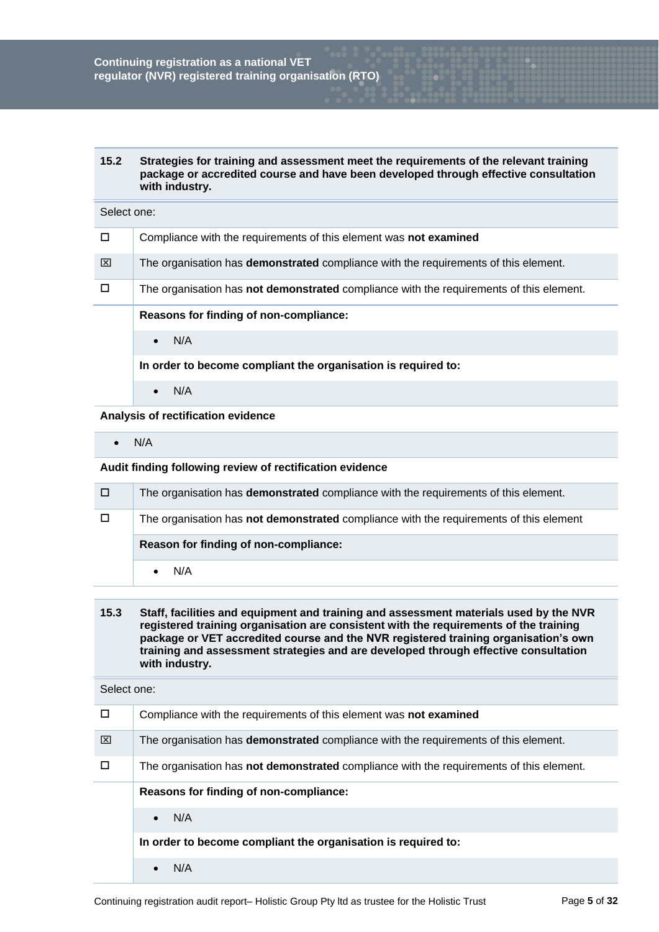| 15.2 | Strategies for training and assessment meet the requirements of the relevant training |
|------|---------------------------------------------------------------------------------------|
|      | package or accredited course and have been developed through effective consultation   |
|      | with industry.                                                                        |

# Select one:

| $\Box$ | Compliance with the requirements of this element was not examined                          |
|--------|--------------------------------------------------------------------------------------------|
| ⊠      | The organisation has <b>demonstrated</b> compliance with the requirements of this element. |
| $\Box$ | The organisation has not demonstrated compliance with the requirements of this element.    |
|        | Reasons for finding of non-compliance:                                                     |
|        | N/A                                                                                        |
|        | In order to become compliant the organisation is required to:                              |
|        | N/A                                                                                        |

**Analysis of rectification evidence**

 $\bullet$  N/A

#### **Audit finding following review of rectification evidence**

| O | The organisation has <b>demonstrated</b> compliance with the requirements of this element.    |
|---|-----------------------------------------------------------------------------------------------|
| D | The organisation has <b>not demonstrated</b> compliance with the requirements of this element |
|   | Reason for finding of non-compliance:                                                         |
|   | N/A                                                                                           |

## **15.3 Staff, facilities and equipment and training and assessment materials used by the NVR registered training organisation are consistent with the requirements of the training package or VET accredited course and the NVR registered training organisation's own training and assessment strategies and are developed through effective consultation with industry.**

| $\Box$ | Compliance with the requirements of this element was not examined                              |
|--------|------------------------------------------------------------------------------------------------|
| ⊠      | The organisation has <b>demonstrated</b> compliance with the requirements of this element.     |
|        | The organisation has <b>not demonstrated</b> compliance with the requirements of this element. |
|        | Reasons for finding of non-compliance:                                                         |
|        | N/A<br>$\bullet$                                                                               |
|        | In order to become compliant the organisation is required to:                                  |
|        | N/A                                                                                            |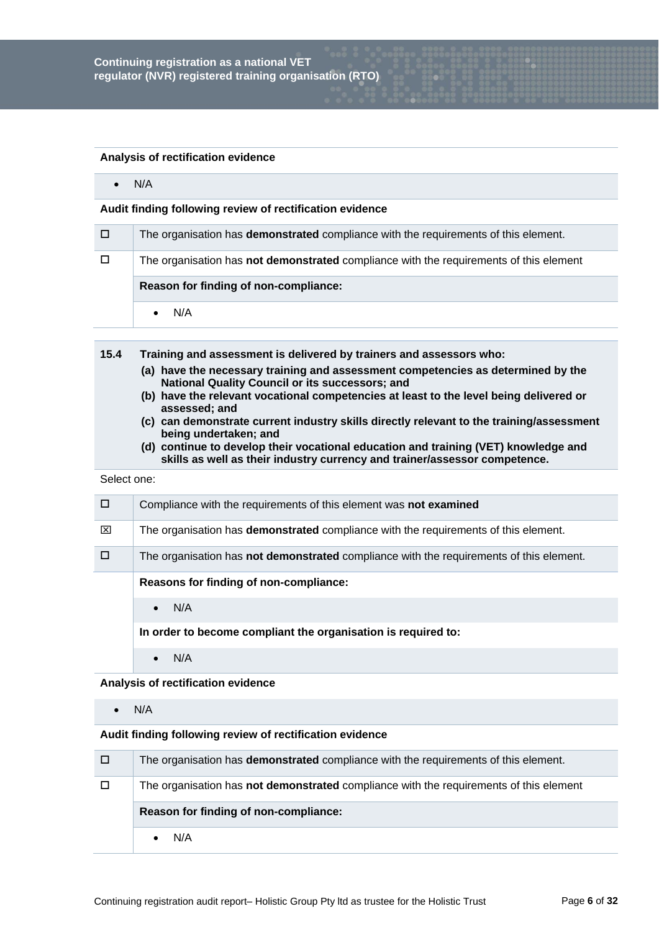#### **Analysis of rectification evidence**

 $\bullet$  N/A

## **Audit finding following review of rectification evidence**

| o      | The organisation has <b>demonstrated</b> compliance with the requirements of this element. |  |
|--------|--------------------------------------------------------------------------------------------|--|
| $\Box$ | The organisation has not demonstrated compliance with the requirements of this element     |  |
|        | Reason for finding of non-compliance:                                                      |  |
|        |                                                                                            |  |

- **15.4 Training and assessment is delivered by trainers and assessors who:**
	- **(a) have the necessary training and assessment competencies as determined by the National Quality Council or its successors; and**
	- **(b) have the relevant vocational competencies at least to the level being delivered or assessed; and**
	- **(c) can demonstrate current industry skills directly relevant to the training/assessment being undertaken; and**
	- **(d) continue to develop their vocational education and training (VET) knowledge and skills as well as their industry currency and trainer/assessor competence.**

#### Select one:

|   | Compliance with the requirements of this element was not examined                          |
|---|--------------------------------------------------------------------------------------------|
| ⊠ | The organisation has <b>demonstrated</b> compliance with the requirements of this element. |
|   | The organisation has not demonstrated compliance with the requirements of this element.    |
|   | Reasons for finding of non-compliance:                                                     |
|   | N/A                                                                                        |
|   | In order to become compliant the organisation is required to:                              |
|   |                                                                                            |

## **Analysis of rectification evidence**

 $\bullet$  N/A

| 70 K   | The organisation has <b>demonstrated</b> compliance with the requirements of this element. |
|--------|--------------------------------------------------------------------------------------------|
| $\Box$ | The organisation has not demonstrated compliance with the requirements of this element     |
|        | Reason for finding of non-compliance:                                                      |
|        | N/A                                                                                        |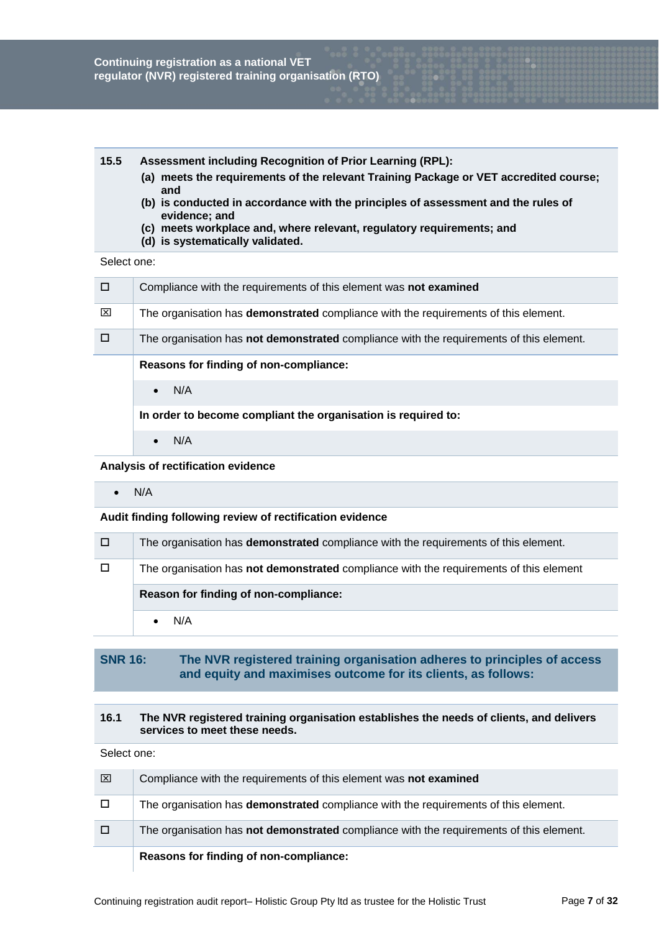#### **15.5 Assessment including Recognition of Prior Learning (RPL):**

- **(a) meets the requirements of the relevant Training Package or VET accredited course; and**
- **(b) is conducted in accordance with the principles of assessment and the rules of evidence; and**
- **(c) meets workplace and, where relevant, regulatory requirements; and**
- **(d) is systematically validated.**

# Select one:

| $\Box$ | Compliance with the requirements of this element was not examined                              |
|--------|------------------------------------------------------------------------------------------------|
| ⊠      | The organisation has <b>demonstrated</b> compliance with the requirements of this element.     |
| □      | The organisation has <b>not demonstrated</b> compliance with the requirements of this element. |
|        | Reasons for finding of non-compliance:                                                         |
|        | N/A<br>$\bullet$                                                                               |
|        | In order to become compliant the organisation is required to:                                  |
|        | N/A<br>$\bullet$                                                                               |

## **Analysis of rectification evidence**

 $\bullet$  N/A

**Audit finding following review of rectification evidence**

| o      | The organisation has <b>demonstrated</b> compliance with the requirements of this element. |
|--------|--------------------------------------------------------------------------------------------|
| $\Box$ | The organisation has not demonstrated compliance with the requirements of this element     |
|        | Reason for finding of non-compliance:                                                      |
|        | N/A                                                                                        |

# **SNR 16: The NVR registered training organisation adheres to principles of access and equity and maximises outcome for its clients, as follows:**

## **16.1 The NVR registered training organisation establishes the needs of clients, and delivers services to meet these needs.**

| ⊠      | Compliance with the requirements of this element was not examined                          |
|--------|--------------------------------------------------------------------------------------------|
| $\Box$ | The organisation has <b>demonstrated</b> compliance with the requirements of this element. |
| 0      | The organisation has not demonstrated compliance with the requirements of this element.    |
|        | Reasons for finding of non-compliance:                                                     |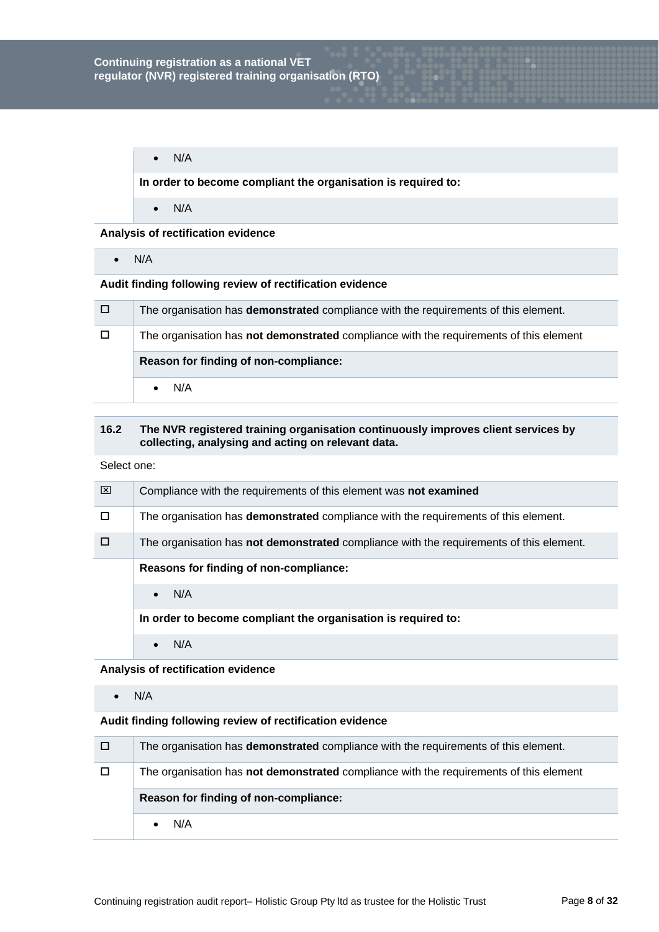$\bullet$  N/A

**In order to become compliant the organisation is required to:**

 $\bullet$  N/A

**Analysis of rectification evidence**

 $\bullet$  N/A

# **Audit finding following review of rectification evidence**

| $\Box$ | The organisation has <b>demonstrated</b> compliance with the requirements of this element. |
|--------|--------------------------------------------------------------------------------------------|
| $\Box$ | The organisation has not demonstrated compliance with the requirements of this element     |
|        | Reason for finding of non-compliance:                                                      |
|        | N/A                                                                                        |

## **16.2 The NVR registered training organisation continuously improves client services by collecting, analysing and acting on relevant data.**

Select one:

| ⊠ | Compliance with the requirements of this element was not examined                              |
|---|------------------------------------------------------------------------------------------------|
| п | The organisation has <b>demonstrated</b> compliance with the requirements of this element.     |
|   | The organisation has <b>not demonstrated</b> compliance with the requirements of this element. |
|   | Reasons for finding of non-compliance:                                                         |
|   | N/A<br>$\bullet$                                                                               |
|   | In order to become compliant the organisation is required to:                                  |
|   | N/A                                                                                            |

#### **Analysis of rectification evidence**

 $\bullet$  N/A

| o  | The organisation has <b>demonstrated</b> compliance with the requirements of this element. |
|----|--------------------------------------------------------------------------------------------|
| D. | The organisation has not demonstrated compliance with the requirements of this element     |
|    | Reason for finding of non-compliance:                                                      |
|    |                                                                                            |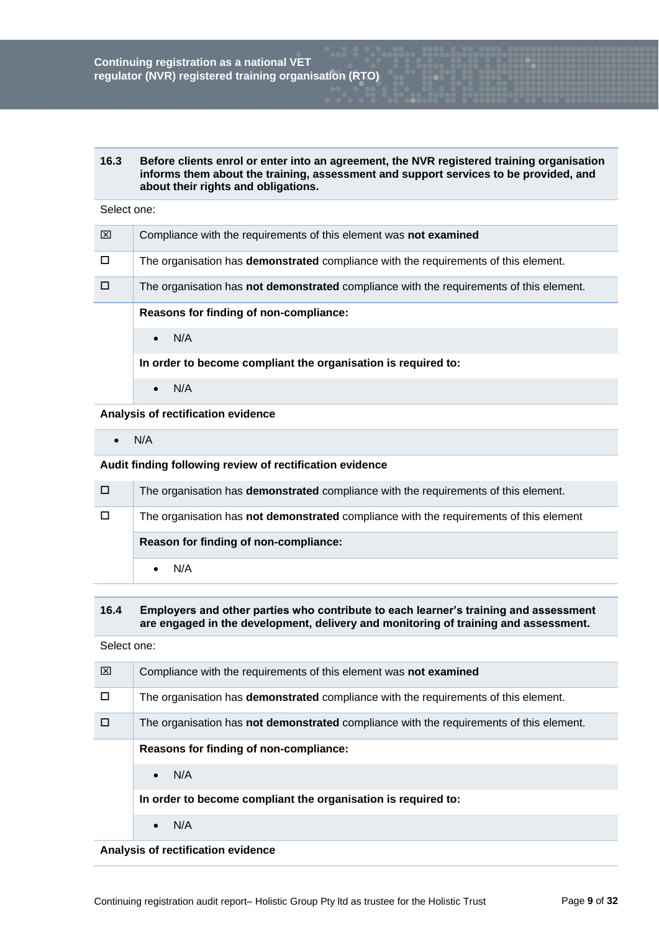**16.3 Before clients enrol or enter into an agreement, the NVR registered training organisation informs them about the training, assessment and support services to be provided, and about their rights and obligations.**

#### Select one:

| 冈 | Compliance with the requirements of this element was not examined                              |
|---|------------------------------------------------------------------------------------------------|
|   | The organisation has demonstrated compliance with the requirements of this element.            |
|   | The organisation has <b>not demonstrated</b> compliance with the requirements of this element. |
|   | Reasons for finding of non-compliance:                                                         |
|   | N/A<br>$\bullet$                                                                               |
|   | In order to become compliant the organisation is required to:                                  |
|   | N/A                                                                                            |

**Analysis of rectification evidence**

 $\bullet$  N/A

**Audit finding following review of rectification evidence**

| □ | The organisation has <b>demonstrated</b> compliance with the requirements of this element.    |
|---|-----------------------------------------------------------------------------------------------|
| □ | The organisation has <b>not demonstrated</b> compliance with the requirements of this element |
|   | Reason for finding of non-compliance:                                                         |
|   | N/A                                                                                           |

#### **16.4 Employers and other parties who contribute to each learner's training and assessment are engaged in the development, delivery and monitoring of training and assessment.**

Select one:

| ⊠ | Compliance with the requirements of this element was not examined                              |
|---|------------------------------------------------------------------------------------------------|
|   | The organisation has <b>demonstrated</b> compliance with the requirements of this element.     |
|   | The organisation has <b>not demonstrated</b> compliance with the requirements of this element. |
|   | Reasons for finding of non-compliance:                                                         |
|   | N/A<br>$\bullet$                                                                               |
|   | In order to become compliant the organisation is required to:                                  |
|   | N/A                                                                                            |

**Analysis of rectification evidence**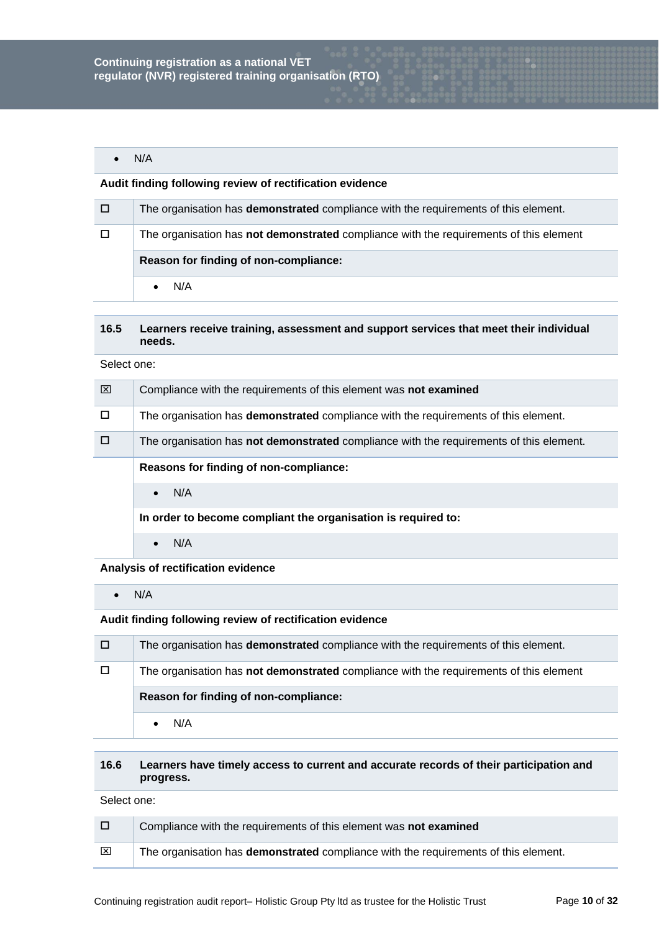$\bullet$  N/A

## **Audit finding following review of rectification evidence**

| o      | The organisation has <b>demonstrated</b> compliance with the requirements of this element. |
|--------|--------------------------------------------------------------------------------------------|
| $\Box$ | The organisation has not demonstrated compliance with the requirements of this element     |
|        | Reason for finding of non-compliance:                                                      |
|        | N/A                                                                                        |

#### **16.5 Learners receive training, assessment and support services that meet their individual needs.**

Select one:

| ⊠ | Compliance with the requirements of this element was not examined                              |
|---|------------------------------------------------------------------------------------------------|
| п | The organisation has <b>demonstrated</b> compliance with the requirements of this element.     |
| П | The organisation has <b>not demonstrated</b> compliance with the requirements of this element. |
|   | Reasons for finding of non-compliance:                                                         |
|   | N/A<br>$\bullet$                                                                               |
|   | In order to become compliant the organisation is required to:                                  |
|   | N/A                                                                                            |

#### **Analysis of rectification evidence**

 $\bullet$  N/A

**Audit finding following review of rectification evidence**

| 0      | The organisation has <b>demonstrated</b> compliance with the requirements of this element. |
|--------|--------------------------------------------------------------------------------------------|
| $\Box$ | The organisation has not demonstrated compliance with the requirements of this element     |
|        | Reason for finding of non-compliance:                                                      |
|        | N/A                                                                                        |

## **16.6 Learners have timely access to current and accurate records of their participation and progress.**

| $\Box$ | Compliance with the requirements of this element was not examined                          |
|--------|--------------------------------------------------------------------------------------------|
| ⊠      | The organisation has <b>demonstrated</b> compliance with the requirements of this element. |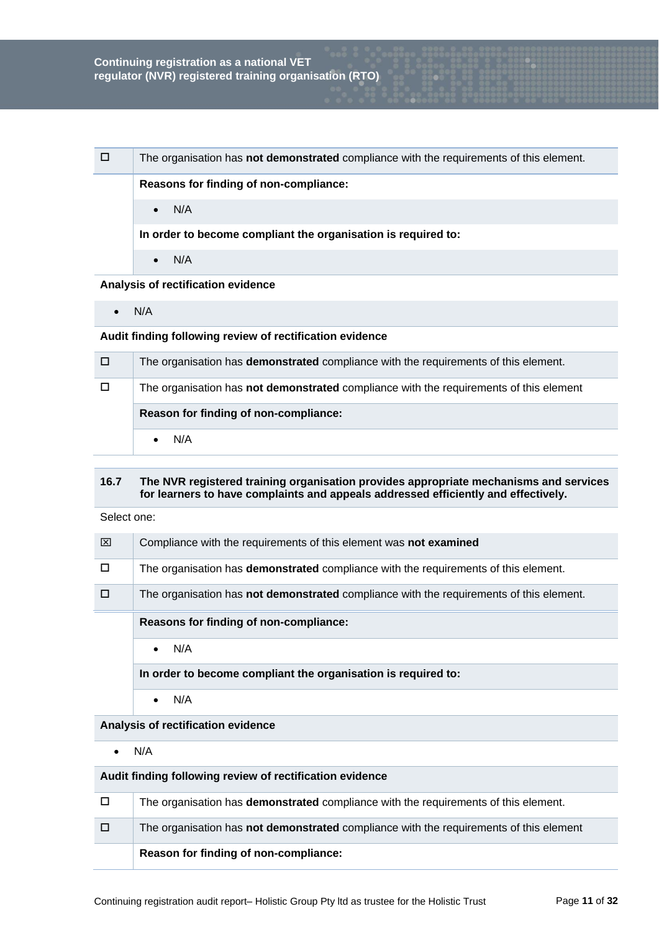| □ | The organisation has <b>not demonstrated</b> compliance with the requirements of this element. |
|---|------------------------------------------------------------------------------------------------|
|   | Reasons for finding of non-compliance:                                                         |
|   | N/A<br>$\bullet$                                                                               |
|   | In order to become compliant the organisation is required to:                                  |
|   | N/A<br>$\bullet$                                                                               |
|   | Angelesete of secritized as endelesses                                                         |

#### **Analysis of rectification evidence**

 $\bullet$  N/A

## **Audit finding following review of rectification evidence**

| / O /  | The organisation has <b>demonstrated</b> compliance with the requirements of this element.    |
|--------|-----------------------------------------------------------------------------------------------|
| $\Box$ | The organisation has <b>not demonstrated</b> compliance with the requirements of this element |
|        | Reason for finding of non-compliance:                                                         |
|        | N/A                                                                                           |

## **16.7 The NVR registered training organisation provides appropriate mechanisms and services for learners to have complaints and appeals addressed efficiently and effectively.**

Select one:

| ⊠      | Compliance with the requirements of this element was not examined                              |
|--------|------------------------------------------------------------------------------------------------|
| $\Box$ | The organisation has <b>demonstrated</b> compliance with the requirements of this element.     |
| $\Box$ | The organisation has <b>not demonstrated</b> compliance with the requirements of this element. |
|        |                                                                                                |
|        | Reasons for finding of non-compliance:                                                         |
|        | N/A                                                                                            |
|        | In order to become compliant the organisation is required to:                                  |

 $\bullet$  N/A

# **Analysis of rectification evidence**

 $\bullet$  N/A

| $\Box$ | The organisation has <b>demonstrated</b> compliance with the requirements of this element.    |
|--------|-----------------------------------------------------------------------------------------------|
| $\Box$ | The organisation has <b>not demonstrated</b> compliance with the requirements of this element |
|        | Reason for finding of non-compliance:                                                         |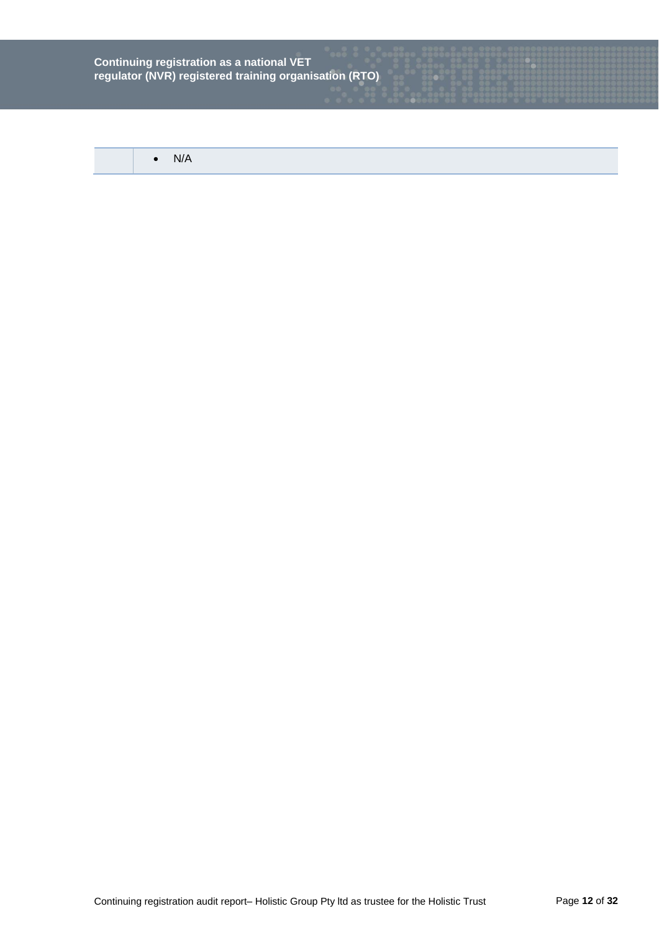$\bullet$  N/A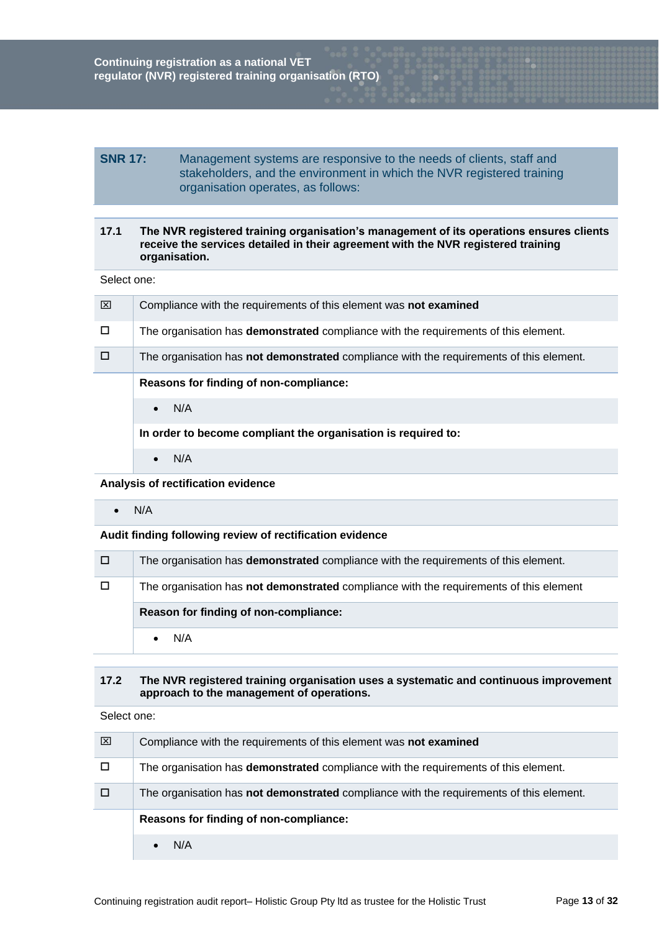# **SNR 17:** Management systems are responsive to the needs of clients, staff and stakeholders, and the environment in which the NVR registered training organisation operates, as follows:

## **17.1 The NVR registered training organisation's management of its operations ensures clients receive the services detailed in their agreement with the NVR registered training organisation.**

Select one:

| ⊠      | Compliance with the requirements of this element was not examined                              |
|--------|------------------------------------------------------------------------------------------------|
| $\Box$ | The organisation has <b>demonstrated</b> compliance with the requirements of this element.     |
| П      | The organisation has <b>not demonstrated</b> compliance with the requirements of this element. |
|        | Reasons for finding of non-compliance:                                                         |
|        |                                                                                                |
|        | N/A<br>$\bullet$                                                                               |
|        | In order to become compliant the organisation is required to:                                  |

 $\bullet$  N/A

**Analysis of rectification evidence**

 $\bullet$  N/A

## **Audit finding following review of rectification evidence**

| / D / | The organisation has <b>demonstrated</b> compliance with the requirements of this element.    |
|-------|-----------------------------------------------------------------------------------------------|
| D     | The organisation has <b>not demonstrated</b> compliance with the requirements of this element |
|       | Reason for finding of non-compliance:                                                         |
|       | N/A                                                                                           |

#### **17.2 The NVR registered training organisation uses a systematic and continuous improvement approach to the management of operations.**

| ⊠ | Compliance with the requirements of this element was not examined                              |
|---|------------------------------------------------------------------------------------------------|
| □ | The organisation has <b>demonstrated</b> compliance with the requirements of this element.     |
| □ | The organisation has <b>not demonstrated</b> compliance with the requirements of this element. |
|   | Reasons for finding of non-compliance:                                                         |
|   | N/A                                                                                            |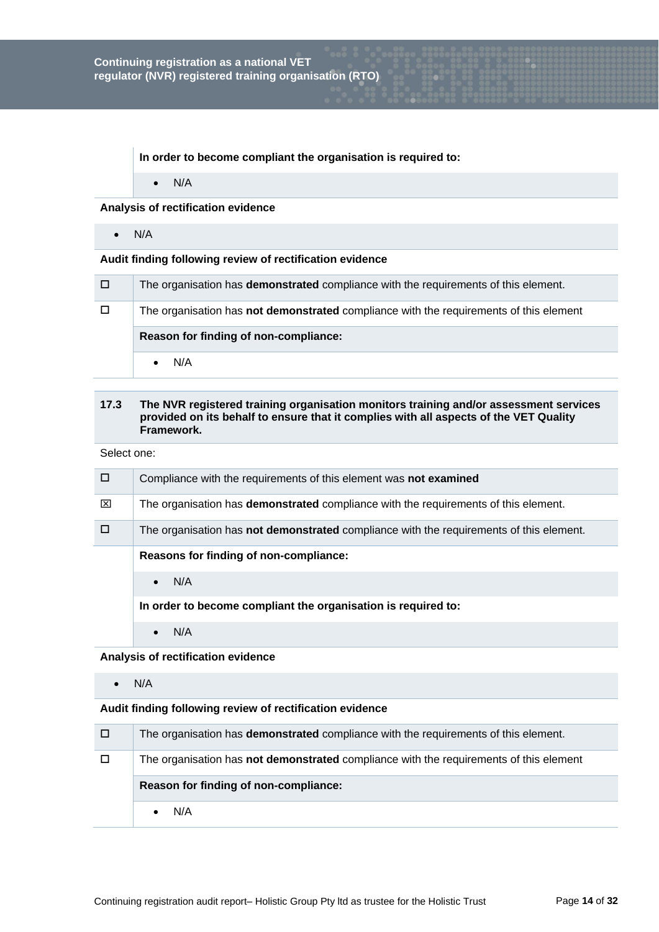**In order to become compliant the organisation is required to:**

 $\bullet$  N/A

# **Analysis of rectification evidence**

 $\bullet$  N/A

#### **Audit finding following review of rectification evidence**

| □ | The organisation has <b>demonstrated</b> compliance with the requirements of this element. |
|---|--------------------------------------------------------------------------------------------|
| □ | The organisation has not demonstrated compliance with the requirements of this element     |
|   |                                                                                            |
|   | Reason for finding of non-compliance:                                                      |

# **17.3 The NVR registered training organisation monitors training and/or assessment services provided on its behalf to ensure that it complies with all aspects of the VET Quality Framework.**

Select one:

| □ | Compliance with the requirements of this element was not examined                              |
|---|------------------------------------------------------------------------------------------------|
| ⊠ | The organisation has <b>demonstrated</b> compliance with the requirements of this element.     |
| □ | The organisation has <b>not demonstrated</b> compliance with the requirements of this element. |
|   | Reasons for finding of non-compliance:                                                         |
|   | N/A                                                                                            |
|   | la andanta baaamaa aamullant tha annaniaatian ia namulnad tar                                  |

**In order to become compliant the organisation is required to:**

 $\bullet$  N/A

**Analysis of rectification evidence**

 $\bullet$  N/A

| □      | The organisation has <b>demonstrated</b> compliance with the requirements of this element. |
|--------|--------------------------------------------------------------------------------------------|
| $\Box$ | The organisation has not demonstrated compliance with the requirements of this element     |
|        | Reason for finding of non-compliance:                                                      |
|        | N/A                                                                                        |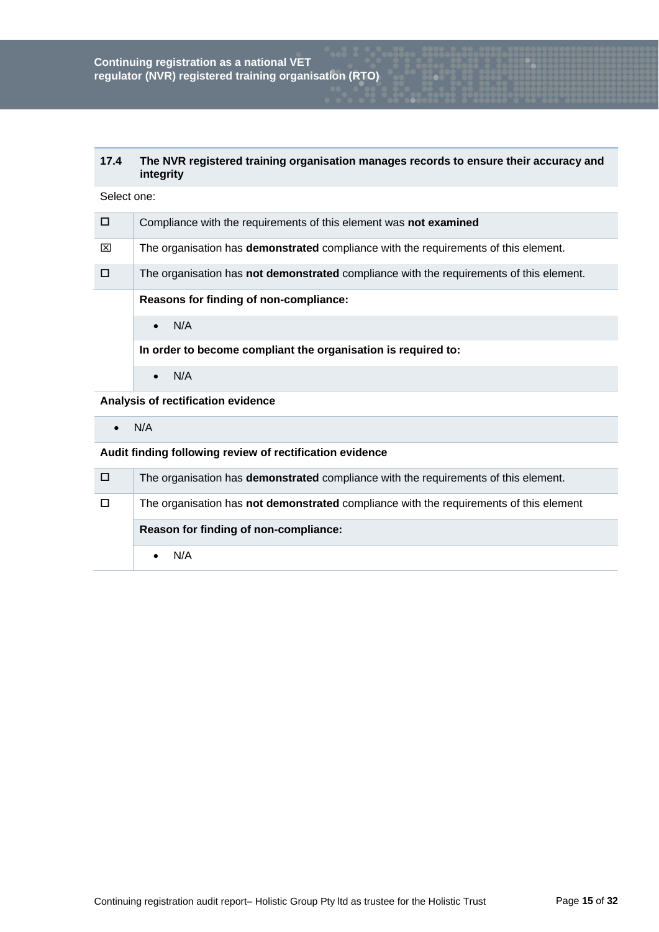## **17.4 The NVR registered training organisation manages records to ensure their accuracy and integrity**

| Select one: |  |
|-------------|--|
|-------------|--|

| $\Box$ | Compliance with the requirements of this element was not examined                              |
|--------|------------------------------------------------------------------------------------------------|
| ⊠      | The organisation has <b>demonstrated</b> compliance with the requirements of this element.     |
| $\Box$ | The organisation has <b>not demonstrated</b> compliance with the requirements of this element. |
|        | Reasons for finding of non-compliance:                                                         |
|        | N/A<br>$\bullet$                                                                               |
|        | In order to become compliant the organisation is required to:                                  |
|        | N/A                                                                                            |

## **Analysis of rectification evidence**

 $\bullet$  N/A

| □      | The organisation has <b>demonstrated</b> compliance with the requirements of this element. |
|--------|--------------------------------------------------------------------------------------------|
| $\Box$ | The organisation has not demonstrated compliance with the requirements of this element     |
|        |                                                                                            |
|        | Reason for finding of non-compliance:                                                      |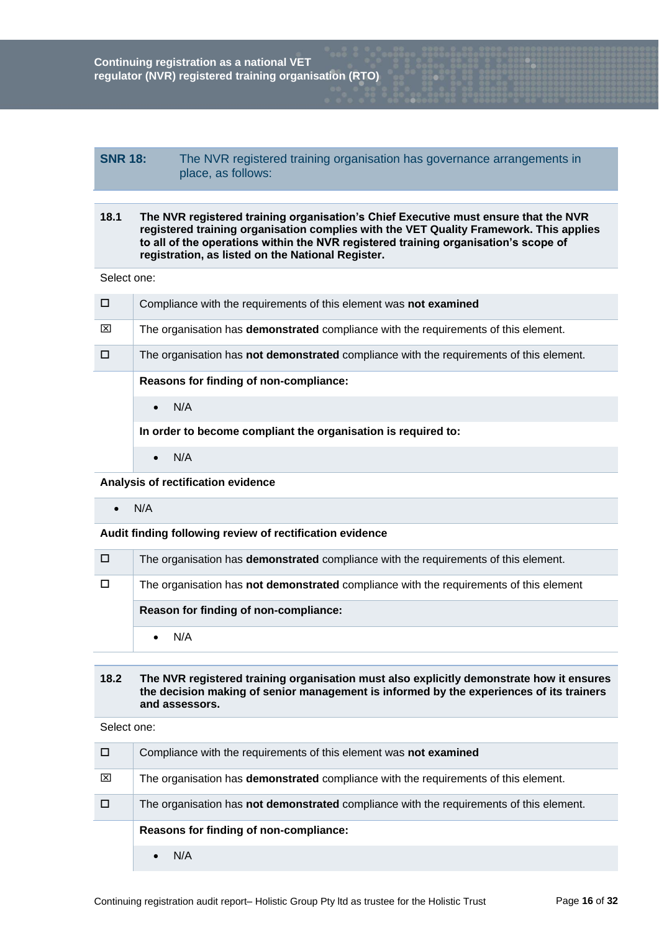# **SNR 18:** The NVR registered training organisation has governance arrangements in place, as follows:

## **18.1 The NVR registered training organisation's Chief Executive must ensure that the NVR registered training organisation complies with the VET Quality Framework. This applies to all of the operations within the NVR registered training organisation's scope of registration, as listed on the National Register.**

Select one:

| $\Box$ | Compliance with the requirements of this element was not examined                              |
|--------|------------------------------------------------------------------------------------------------|
| ⊠      | The organisation has <b>demonstrated</b> compliance with the requirements of this element.     |
| $\Box$ | The organisation has <b>not demonstrated</b> compliance with the requirements of this element. |
|        | Reasons for finding of non-compliance:                                                         |
|        | N/A<br>$\bullet$                                                                               |
|        | In order to become compliant the organisation is required to:                                  |
|        | N/A                                                                                            |

**Analysis of rectification evidence**

 $\bullet$  N/A

**Audit finding following review of rectification evidence**

| o | The organisation has <b>demonstrated</b> compliance with the requirements of this element. |
|---|--------------------------------------------------------------------------------------------|
| D | The organisation has not demonstrated compliance with the requirements of this element     |
|   | Reason for finding of non-compliance:                                                      |
|   |                                                                                            |

#### **18.2 The NVR registered training organisation must also explicitly demonstrate how it ensures the decision making of senior management is informed by the experiences of its trainers and assessors.**

| $\Box$ | Compliance with the requirements of this element was not examined                          |
|--------|--------------------------------------------------------------------------------------------|
| ⊠      | The organisation has <b>demonstrated</b> compliance with the requirements of this element. |
|        | The organisation has not demonstrated compliance with the requirements of this element.    |
|        | Reasons for finding of non-compliance:                                                     |
|        | N/A                                                                                        |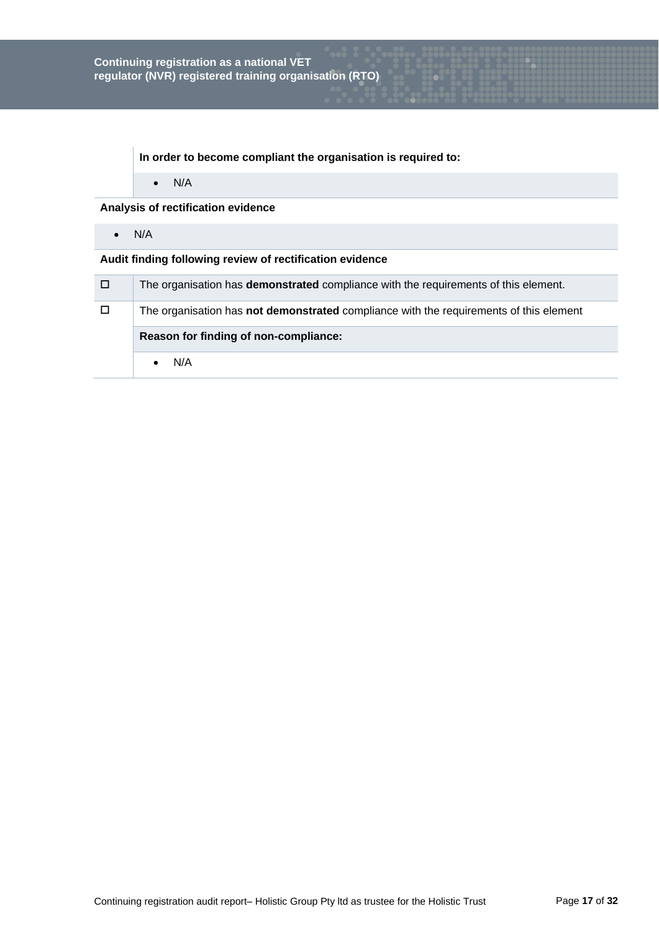**In order to become compliant the organisation is required to:**

 $\bullet$  N/A

**Analysis of rectification evidence**

 $\bullet$  N/A

| O | The organisation has demonstrated compliance with the requirements of this element.    |
|---|----------------------------------------------------------------------------------------|
| □ | The organisation has not demonstrated compliance with the requirements of this element |
|   | Reason for finding of non-compliance:                                                  |
|   | N/A                                                                                    |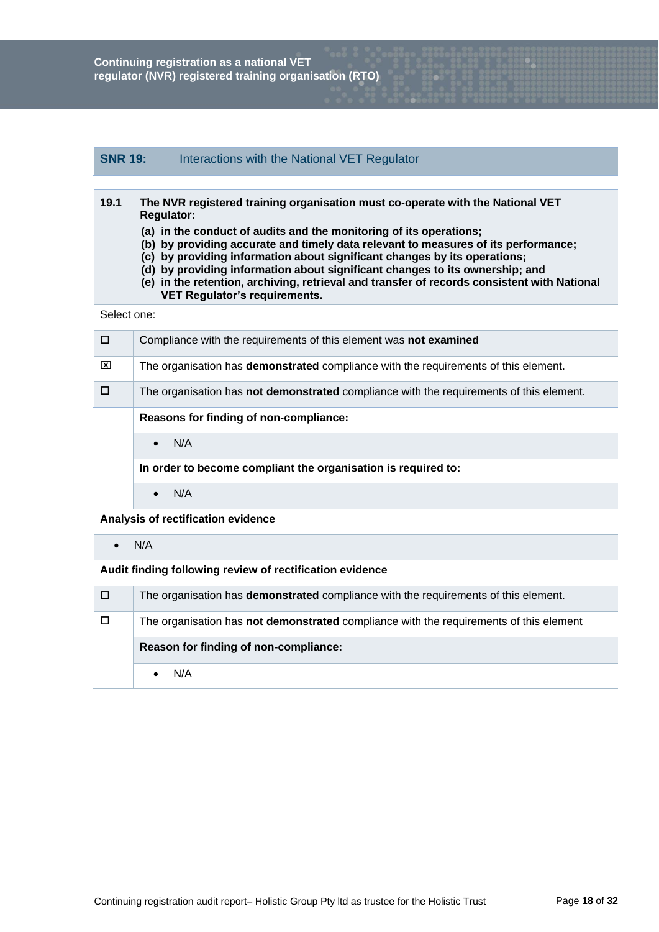# **SNR 19:** Interactions with the National VET Regulator

| 19.1 | The NVR registered training organisation must co-operate with the National VET |
|------|--------------------------------------------------------------------------------|
|      | <b>Requiator:</b>                                                              |

- **(a) in the conduct of audits and the monitoring of its operations;**
- **(b) by providing accurate and timely data relevant to measures of its performance;**
- **(c) by providing information about significant changes by its operations;**
- **(d) by providing information about significant changes to its ownership; and**
- **(e) in the retention, archiving, retrieval and transfer of records consistent with National VET Regulator's requirements.**

Select one:

| □ | Compliance with the requirements of this element was not examined                              |
|---|------------------------------------------------------------------------------------------------|
| ⊠ | The organisation has <b>demonstrated</b> compliance with the requirements of this element.     |
| П | The organisation has <b>not demonstrated</b> compliance with the requirements of this element. |
|   | Reasons for finding of non-compliance:                                                         |
|   | N/A<br>$\bullet$                                                                               |
|   | In order to become compliant the organisation is required to:                                  |
|   | N/A<br>$\bullet$                                                                               |

**Analysis of rectification evidence**

 $\bullet$  N/A

| 0      | The organisation has <b>demonstrated</b> compliance with the requirements of this element. |
|--------|--------------------------------------------------------------------------------------------|
| $\Box$ | The organisation has not demonstrated compliance with the requirements of this element     |
|        | Reason for finding of non-compliance:                                                      |
|        | N/A                                                                                        |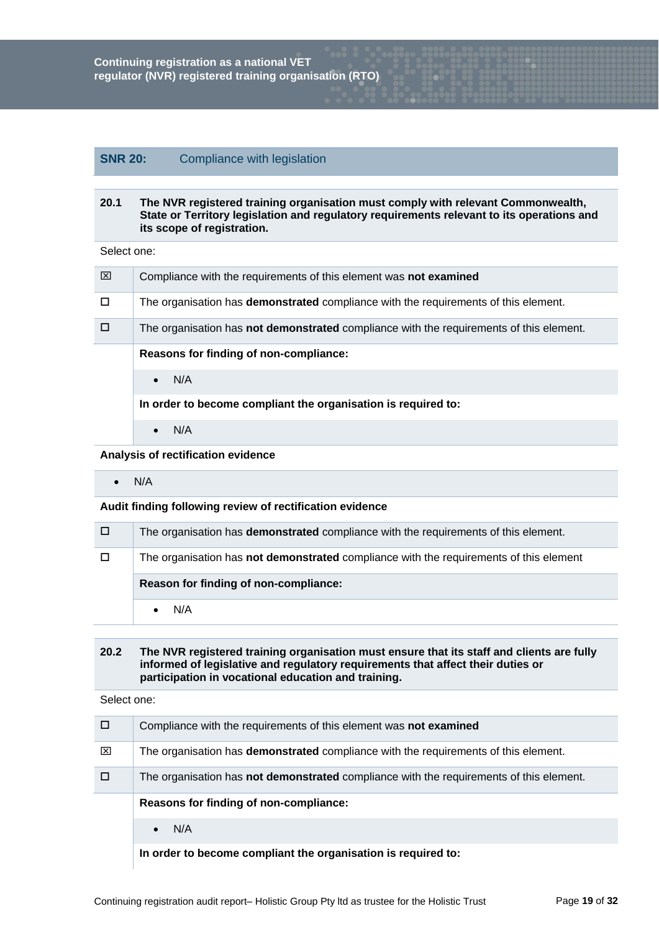# **SNR 20:** Compliance with legislation

#### **20.1 The NVR registered training organisation must comply with relevant Commonwealth, State or Territory legislation and regulatory requirements relevant to its operations and its scope of registration.**

Select one:

| ⊠ | Compliance with the requirements of this element was not examined                              |
|---|------------------------------------------------------------------------------------------------|
| □ | The organisation has <b>demonstrated</b> compliance with the requirements of this element.     |
| п | The organisation has <b>not demonstrated</b> compliance with the requirements of this element. |
|   | Reasons for finding of non-compliance:                                                         |
|   | N/A<br>$\bullet$                                                                               |
|   | In order to become compliant the organisation is required to:                                  |
|   | N/A<br>$\bullet$                                                                               |

## **Analysis of rectification evidence**

 $\bullet$  N/A

#### **Audit finding following review of rectification evidence**

| $\Box$ | The organisation has <b>demonstrated</b> compliance with the requirements of this element. |
|--------|--------------------------------------------------------------------------------------------|
| $\Box$ | The organisation has not demonstrated compliance with the requirements of this element     |
|        |                                                                                            |
|        | Reason for finding of non-compliance:                                                      |

# **20.2 The NVR registered training organisation must ensure that its staff and clients are fully informed of legislative and regulatory requirements that affect their duties or participation in vocational education and training.**

| □ | Compliance with the requirements of this element was not examined                              |  |  |  |  |  |
|---|------------------------------------------------------------------------------------------------|--|--|--|--|--|
| ⊠ | The organisation has <b>demonstrated</b> compliance with the requirements of this element.     |  |  |  |  |  |
|   | The organisation has <b>not demonstrated</b> compliance with the requirements of this element. |  |  |  |  |  |
|   | Reasons for finding of non-compliance:                                                         |  |  |  |  |  |
|   |                                                                                                |  |  |  |  |  |
|   | N/A<br>$\bullet$                                                                               |  |  |  |  |  |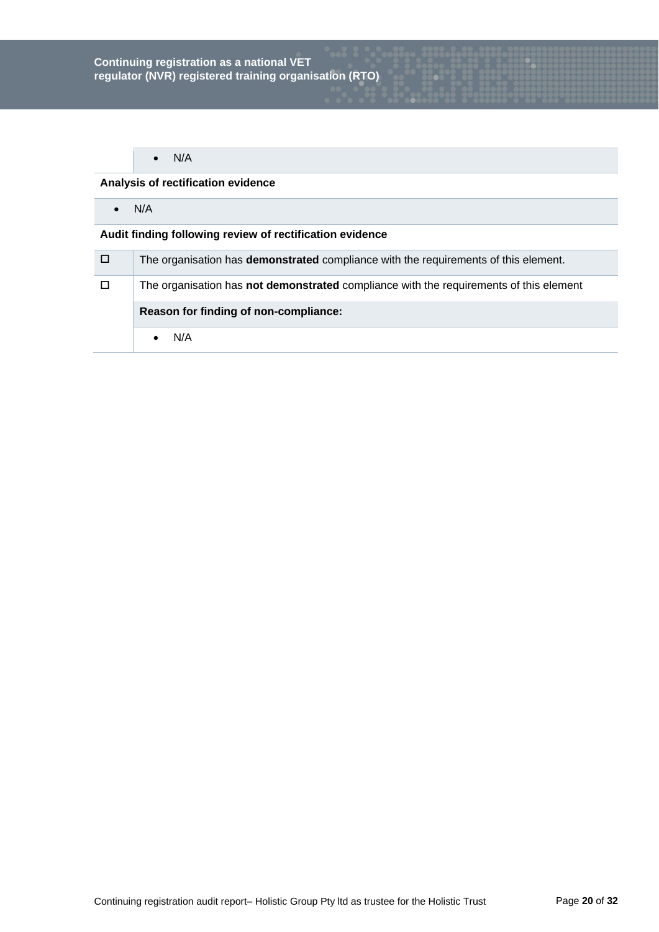# **Analysis of rectification evidence**

 $\bullet$  N/A

| $\Box$ | The organisation has <b>demonstrated</b> compliance with the requirements of this element. |  |  |  |  |
|--------|--------------------------------------------------------------------------------------------|--|--|--|--|
| $\Box$ | The organisation has not demonstrated compliance with the requirements of this element     |  |  |  |  |
|        | Reason for finding of non-compliance:                                                      |  |  |  |  |
|        |                                                                                            |  |  |  |  |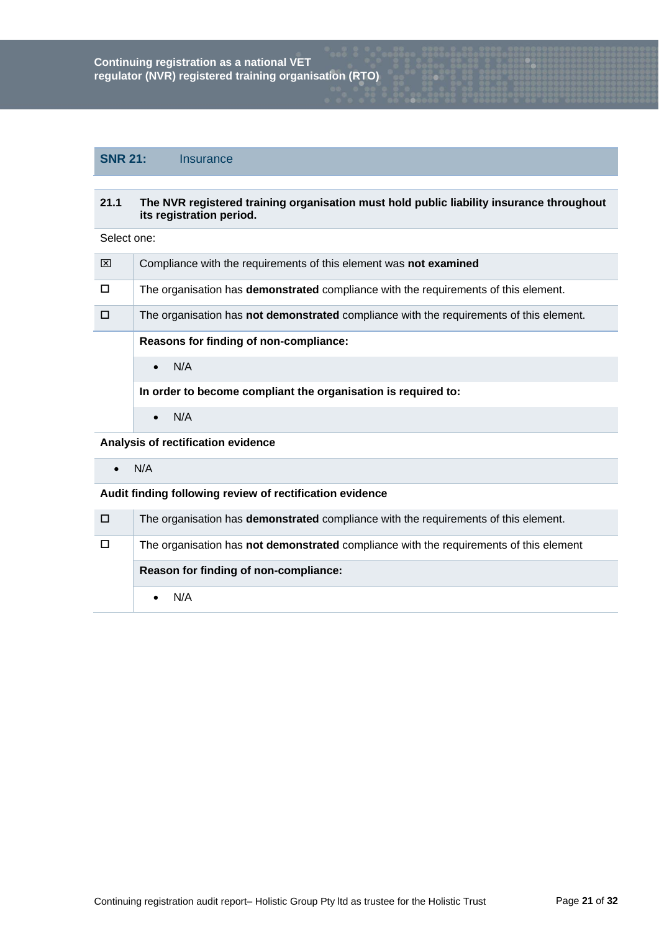# **SNR 21:** Insurance

#### **21.1 The NVR registered training organisation must hold public liability insurance throughout its registration period.**

Select one:

| ⊠      | Compliance with the requirements of this element was not examined                              |  |  |  |  |  |
|--------|------------------------------------------------------------------------------------------------|--|--|--|--|--|
| $\Box$ | The organisation has <b>demonstrated</b> compliance with the requirements of this element.     |  |  |  |  |  |
| $\Box$ | The organisation has <b>not demonstrated</b> compliance with the requirements of this element. |  |  |  |  |  |
|        | Reasons for finding of non-compliance:                                                         |  |  |  |  |  |
|        | N/A<br>$\bullet$                                                                               |  |  |  |  |  |
|        | In order to become compliant the organisation is required to:                                  |  |  |  |  |  |
|        | N/A<br>$\bullet$                                                                               |  |  |  |  |  |
|        |                                                                                                |  |  |  |  |  |

**Analysis of rectification evidence**

 $\bullet$  N/A

| 70 I   | The organisation has demonstrated compliance with the requirements of this element.    |  |  |  |  |  |
|--------|----------------------------------------------------------------------------------------|--|--|--|--|--|
| $\Box$ | The organisation has not demonstrated compliance with the requirements of this element |  |  |  |  |  |
|        | Reason for finding of non-compliance:                                                  |  |  |  |  |  |
|        |                                                                                        |  |  |  |  |  |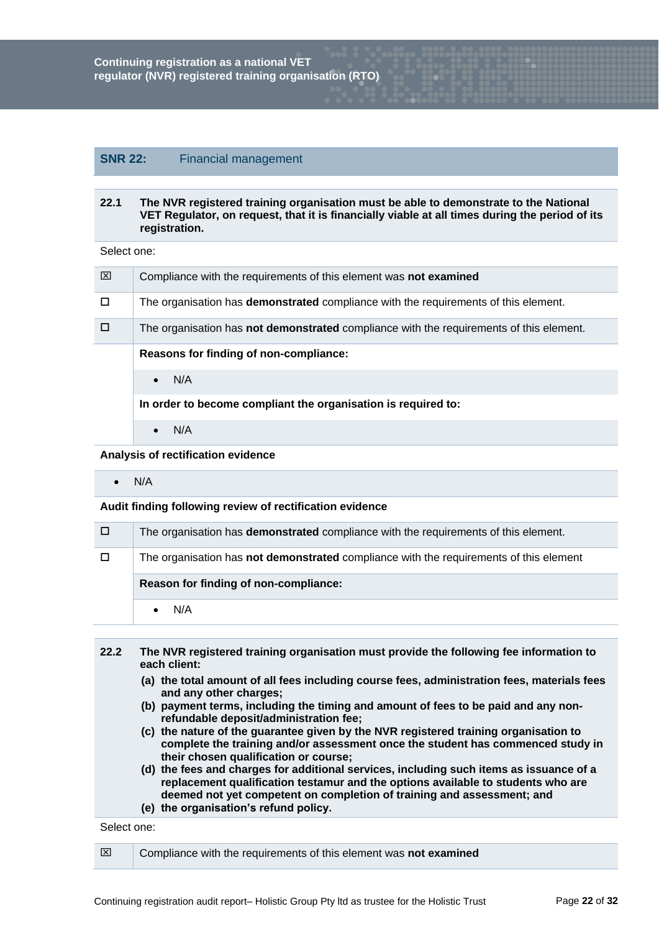# **SNR 22:** Financial management

#### **22.1 The NVR registered training organisation must be able to demonstrate to the National VET Regulator, on request, that it is financially viable at all times during the period of its registration.**

Select one:

| ⊠      | Compliance with the requirements of this element was not examined                          |  |  |  |  |  |  |
|--------|--------------------------------------------------------------------------------------------|--|--|--|--|--|--|
| $\Box$ | The organisation has <b>demonstrated</b> compliance with the requirements of this element. |  |  |  |  |  |  |
| □      | The organisation has not demonstrated compliance with the requirements of this element.    |  |  |  |  |  |  |
|        | Reasons for finding of non-compliance:                                                     |  |  |  |  |  |  |
|        | N/A<br>$\bullet$                                                                           |  |  |  |  |  |  |
|        | In order to become compliant the organisation is required to:                              |  |  |  |  |  |  |
|        | N/A<br>$\bullet$                                                                           |  |  |  |  |  |  |

**Analysis of rectification evidence**

 $\bullet$  N/A

**Audit finding following review of rectification evidence**

| □ | The organisation has <b>demonstrated</b> compliance with the requirements of this element. |  |  |  |  |
|---|--------------------------------------------------------------------------------------------|--|--|--|--|
|   | The organisation has not demonstrated compliance with the requirements of this element     |  |  |  |  |
|   | Reason for finding of non-compliance:                                                      |  |  |  |  |
|   |                                                                                            |  |  |  |  |

| 22.2 | The NVR registered training organisation must provide the following fee information to      |  |  |  |  |
|------|---------------------------------------------------------------------------------------------|--|--|--|--|
|      | each client:                                                                                |  |  |  |  |
|      | (a) the total amount of all fees including course fees, administration fees, materials fees |  |  |  |  |

- **(a) the total amount of all fees including course fees, administration fees, materials fees and any other charges;**
- **(b) payment terms, including the timing and amount of fees to be paid and any nonrefundable deposit/administration fee;**
- **(c) the nature of the guarantee given by the NVR registered training organisation to complete the training and/or assessment once the student has commenced study in their chosen qualification or course;**
- **(d) the fees and charges for additional services, including such items as issuance of a replacement qualification testamur and the options available to students who are deemed not yet competent on completion of training and assessment; and**
- **(e) the organisation's refund policy.**

| ⊠ | Compliance with the requirements of this element was not examined |
|---|-------------------------------------------------------------------|
|   |                                                                   |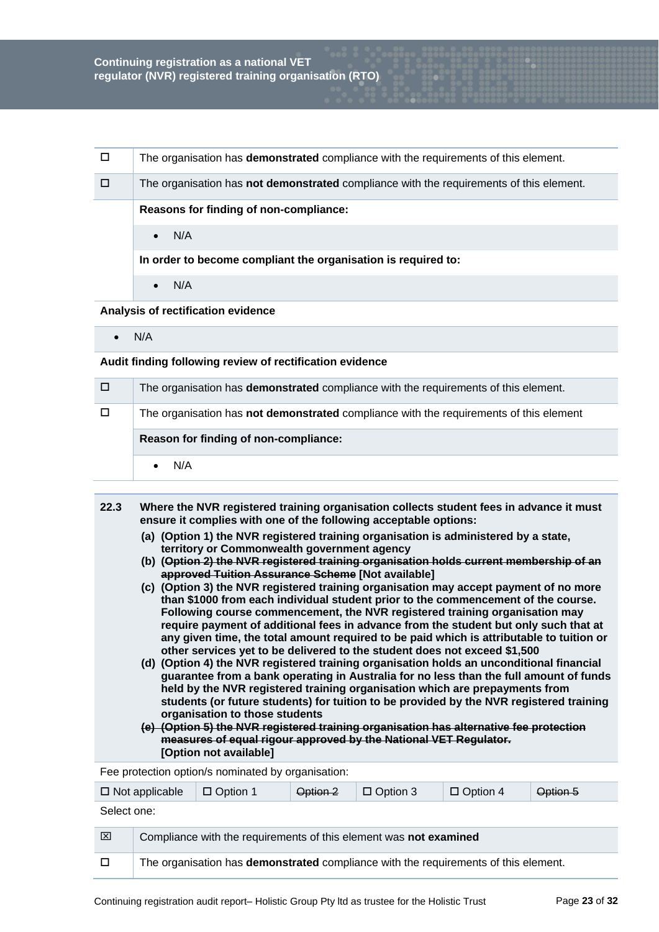| $\Box$ | The organisation has <b>demonstrated</b> compliance with the requirements of this element.     |  |  |  |  |  |  |
|--------|------------------------------------------------------------------------------------------------|--|--|--|--|--|--|
| п      | The organisation has <b>not demonstrated</b> compliance with the requirements of this element. |  |  |  |  |  |  |
|        | Reasons for finding of non-compliance:                                                         |  |  |  |  |  |  |
| N/A    |                                                                                                |  |  |  |  |  |  |
|        | In order to become compliant the organisation is required to:                                  |  |  |  |  |  |  |
|        | N/A                                                                                            |  |  |  |  |  |  |

**Analysis of rectification evidence**

 $\bullet$  N/A

**Audit finding following review of rectification evidence**

| □      | The organisation has <b>demonstrated</b> compliance with the requirements of this element. |  |  |  |  |  |  |
|--------|--------------------------------------------------------------------------------------------|--|--|--|--|--|--|
| $\Box$ | The organisation has not demonstrated compliance with the requirements of this element     |  |  |  |  |  |  |
|        | Reason for finding of non-compliance:                                                      |  |  |  |  |  |  |
|        |                                                                                            |  |  |  |  |  |  |

- **22.3 Where the NVR registered training organisation collects student fees in advance it must ensure it complies with one of the following acceptable options:**
	- **(a) (Option 1) the NVR registered training organisation is administered by a state, territory or Commonwealth government agency**
	- **(b) (Option 2) the NVR registered training organisation holds current membership of an approved Tuition Assurance Scheme [Not available]**
	- **(c) (Option 3) the NVR registered training organisation may accept payment of no more than \$1000 from each individual student prior to the commencement of the course. Following course commencement, the NVR registered training organisation may require payment of additional fees in advance from the student but only such that at any given time, the total amount required to be paid which is attributable to tuition or other services yet to be delivered to the student does not exceed \$1,500**
	- **(d) (Option 4) the NVR registered training organisation holds an unconditional financial guarantee from a bank operating in Australia for no less than the full amount of funds held by the NVR registered training organisation which are prepayments from students (or future students) for tuition to be provided by the NVR registered training organisation to those students**
	- **(e) (Option 5) the NVR registered training organisation has alternative fee protection measures of equal rigour approved by the National VET Regulator. [Option not available]**

Fee protection option/s nominated by organisation:

|             | $\Box$ Not applicable                                                                      | $\Box$ Option 1 | Option 2 | $\Box$ Option 3 | $\Box$ Option 4 | Option 5 |
|-------------|--------------------------------------------------------------------------------------------|-----------------|----------|-----------------|-----------------|----------|
| Select one: |                                                                                            |                 |          |                 |                 |          |
| ⊠           | Compliance with the requirements of this element was not examined                          |                 |          |                 |                 |          |
| □           | The organisation has <b>demonstrated</b> compliance with the requirements of this element. |                 |          |                 |                 |          |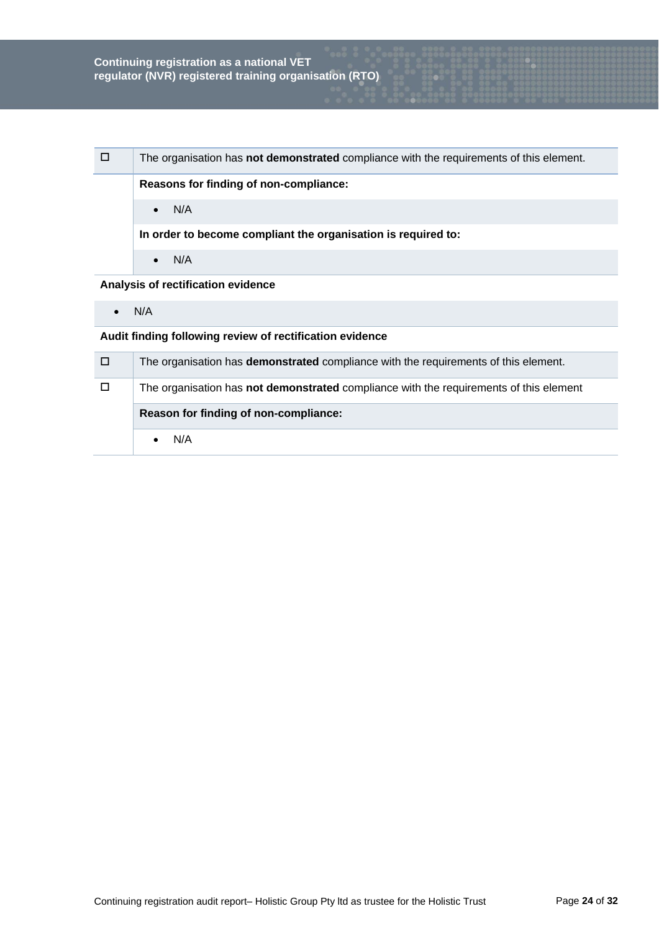| □ | The organisation has not demonstrated compliance with the requirements of this element. |
|---|-----------------------------------------------------------------------------------------|
|   | Reasons for finding of non-compliance:                                                  |
|   | N/A<br>$\bullet$                                                                        |
|   | In order to become compliant the organisation is required to:                           |
|   | N/A<br>$\bullet$                                                                        |
|   | Analysis of rectification evidence                                                      |

 $\bullet$  N/A

| o      | The organisation has <b>demonstrated</b> compliance with the requirements of this element.    |
|--------|-----------------------------------------------------------------------------------------------|
| $\Box$ | The organisation has <b>not demonstrated</b> compliance with the requirements of this element |
|        | Reason for finding of non-compliance:                                                         |
|        | N/A                                                                                           |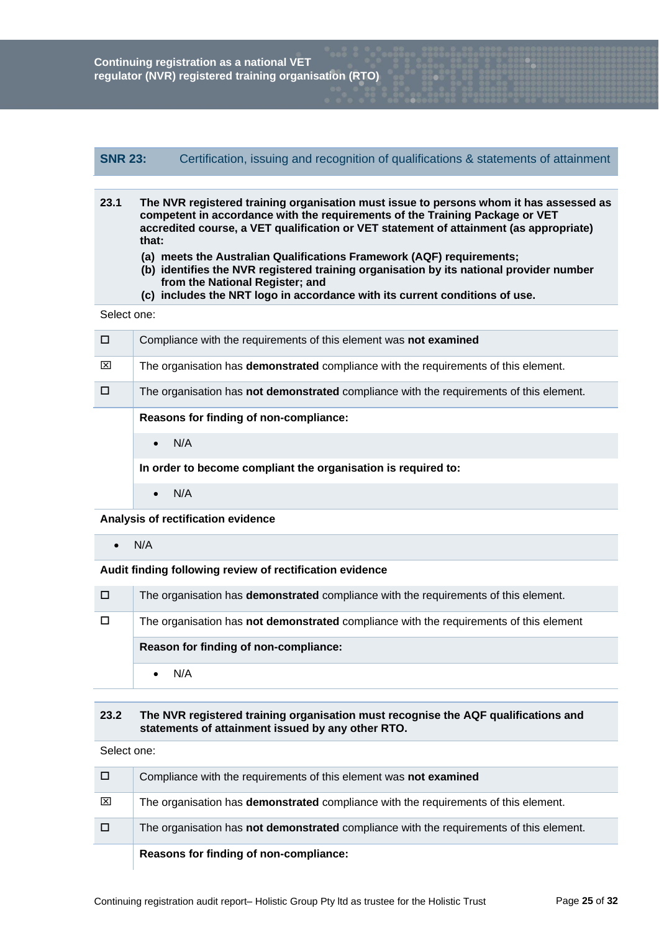# **SNR 23:** Certification, issuing and recognition of qualifications & statements of attainment

- **23.1 The NVR registered training organisation must issue to persons whom it has assessed as competent in accordance with the requirements of the Training Package or VET accredited course, a VET qualification or VET statement of attainment (as appropriate) that:**
	- **(a) meets the Australian Qualifications Framework (AQF) requirements;**
	- **(b) identifies the NVR registered training organisation by its national provider number from the National Register; and**
	- **(c) includes the NRT logo in accordance with its current conditions of use.**

Select one:

|   | Compliance with the requirements of this element was not examined                          |
|---|--------------------------------------------------------------------------------------------|
| ⊠ | The organisation has <b>demonstrated</b> compliance with the requirements of this element. |
| П | The organisation has not demonstrated compliance with the requirements of this element.    |
|   | Reasons for finding of non-compliance:                                                     |
|   | N/A<br>$\bullet$                                                                           |
|   | In order to become compliant the organisation is required to:                              |
|   | N/A                                                                                        |

**Analysis of rectification evidence**

N/A

**Audit finding following review of rectification evidence**

| □      | The organisation has <b>demonstrated</b> compliance with the requirements of this element. |
|--------|--------------------------------------------------------------------------------------------|
| $\Box$ | The organisation has not demonstrated compliance with the requirements of this element     |
|        | Reason for finding of non-compliance:                                                      |
|        | N/A                                                                                        |

#### **23.2 The NVR registered training organisation must recognise the AQF qualifications and statements of attainment issued by any other RTO.**

|   | Reasons for finding of non-compliance:                                                     |
|---|--------------------------------------------------------------------------------------------|
| o | The organisation has not demonstrated compliance with the requirements of this element.    |
| ⊠ | The organisation has <b>demonstrated</b> compliance with the requirements of this element. |
| □ | Compliance with the requirements of this element was not examined                          |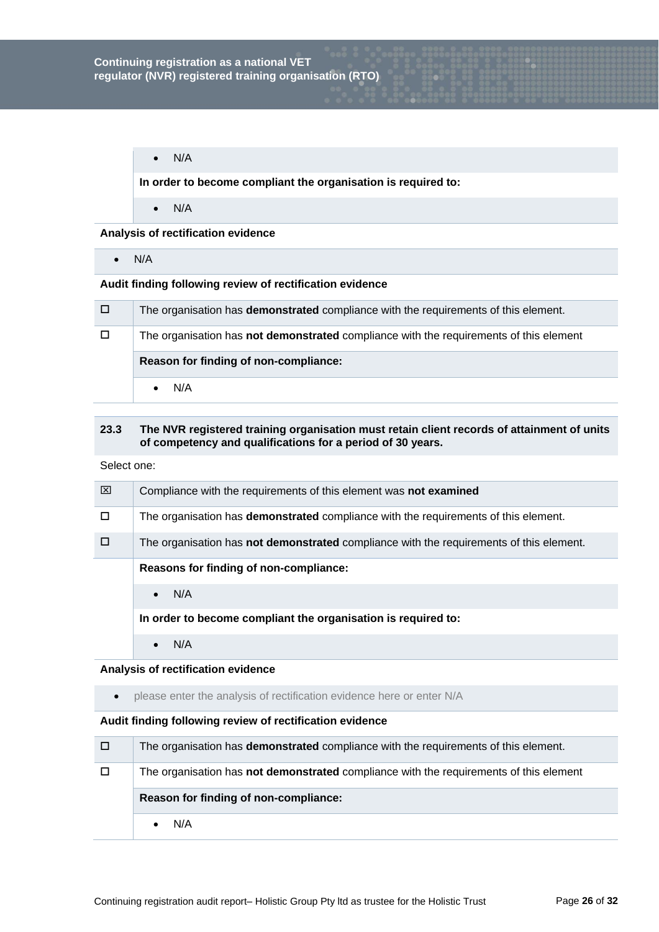$\bullet$  N/A

**In order to become compliant the organisation is required to:**

 $\bullet$  N/A

**Analysis of rectification evidence**

 $\bullet$  N/A

# **Audit finding following review of rectification evidence**

| □      | The organisation has <b>demonstrated</b> compliance with the requirements of this element.    |
|--------|-----------------------------------------------------------------------------------------------|
| $\Box$ | The organisation has <b>not demonstrated</b> compliance with the requirements of this element |
|        | Reason for finding of non-compliance:                                                         |
|        | N/A                                                                                           |

## **23.3 The NVR registered training organisation must retain client records of attainment of units of competency and qualifications for a period of 30 years.**

Select one:

| ⊠ | Compliance with the requirements of this element was not examined                          |
|---|--------------------------------------------------------------------------------------------|
| п | The organisation has <b>demonstrated</b> compliance with the requirements of this element. |
|   | The organisation has not demonstrated compliance with the requirements of this element.    |
|   | Reasons for finding of non-compliance:                                                     |
|   | N/A<br>$\bullet$                                                                           |
|   | In order to become compliant the organisation is required to:                              |
|   | N/A                                                                                        |

## **Analysis of rectification evidence**

please enter the analysis of rectification evidence here or enter N/A

| □      | The organisation has demonstrated compliance with the requirements of this element.           |
|--------|-----------------------------------------------------------------------------------------------|
| $\Box$ | The organisation has <b>not demonstrated</b> compliance with the requirements of this element |
|        | Reason for finding of non-compliance:                                                         |
|        |                                                                                               |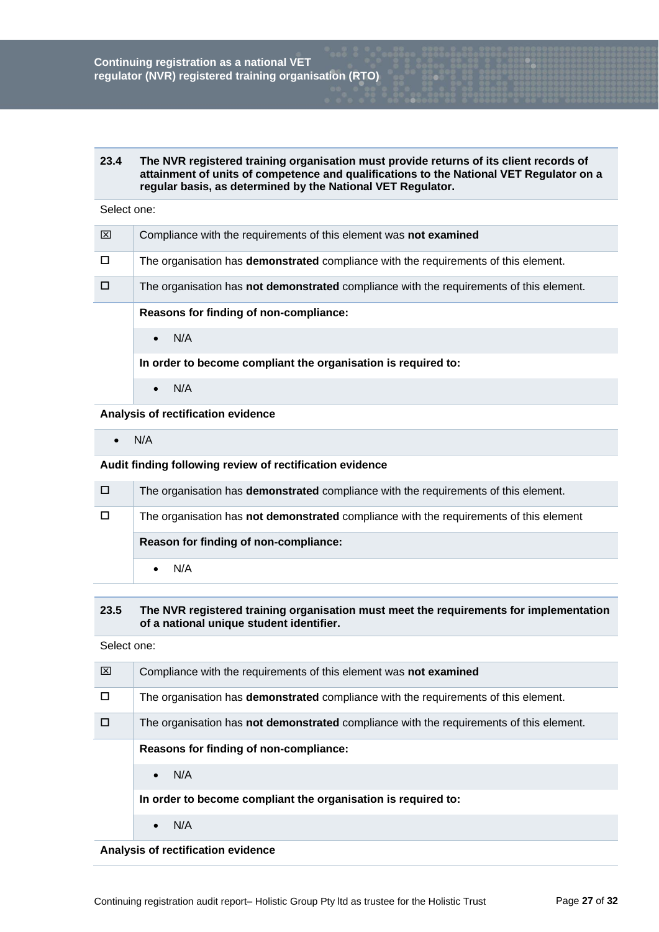#### **23.4 The NVR registered training organisation must provide returns of its client records of attainment of units of competence and qualifications to the National VET Regulator on a regular basis, as determined by the National VET Regulator.**

#### Select one:

| ⊠ | Compliance with the requirements of this element was not examined                              |
|---|------------------------------------------------------------------------------------------------|
|   | The organisation has <b>demonstrated</b> compliance with the requirements of this element.     |
|   | The organisation has <b>not demonstrated</b> compliance with the requirements of this element. |
|   | Reasons for finding of non-compliance:                                                         |
|   | N/A<br>$\bullet$                                                                               |
|   | In order to become compliant the organisation is required to:                                  |
|   | N/A                                                                                            |

**Analysis of rectification evidence**

 $\bullet$  N/A

**Audit finding following review of rectification evidence**

| □ | The organisation has <b>demonstrated</b> compliance with the requirements of this element. |
|---|--------------------------------------------------------------------------------------------|
|   | The organisation has not demonstrated compliance with the requirements of this element     |
|   |                                                                                            |
|   | Reason for finding of non-compliance:                                                      |

#### **23.5 The NVR registered training organisation must meet the requirements for implementation of a national unique student identifier.**

Select one:

| ⊠ | Compliance with the requirements of this element was not examined                              |
|---|------------------------------------------------------------------------------------------------|
| п | The organisation has demonstrated compliance with the requirements of this element.            |
|   | The organisation has <b>not demonstrated</b> compliance with the requirements of this element. |
|   | Reasons for finding of non-compliance:                                                         |
|   | N/A<br>$\bullet$                                                                               |
|   | In order to become compliant the organisation is required to:                                  |
|   | N/A                                                                                            |

**Analysis of rectification evidence**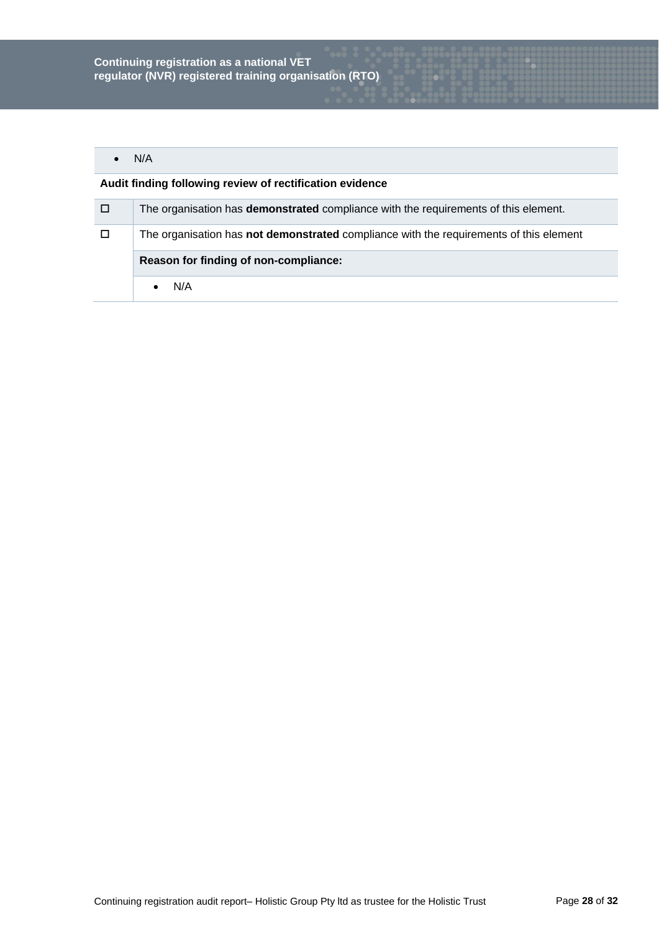# $\bullet$  N/A

| $\Box$ | The organisation has <b>demonstrated</b> compliance with the requirements of this element. |
|--------|--------------------------------------------------------------------------------------------|
| 8 O    | The organisation has not demonstrated compliance with the requirements of this element     |
|        | Reason for finding of non-compliance:                                                      |
|        | N/A                                                                                        |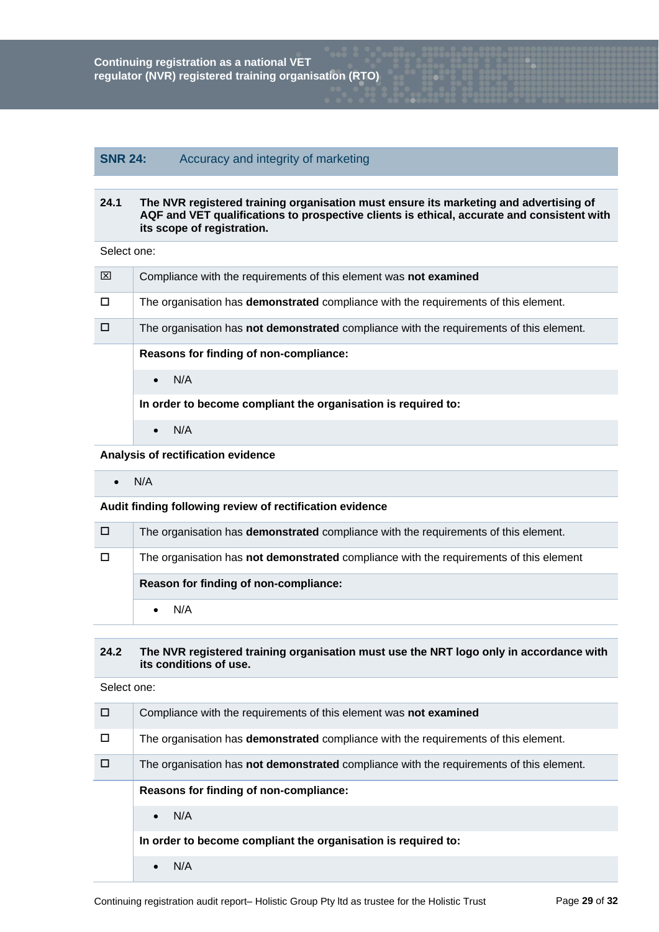# **SNR 24:** Accuracy and integrity of marketing

#### **24.1 The NVR registered training organisation must ensure its marketing and advertising of AQF and VET qualifications to prospective clients is ethical, accurate and consistent with its scope of registration.**

Select one:

| ⊠      | Compliance with the requirements of this element was not examined                              |
|--------|------------------------------------------------------------------------------------------------|
| $\Box$ | The organisation has <b>demonstrated</b> compliance with the requirements of this element.     |
| $\Box$ | The organisation has <b>not demonstrated</b> compliance with the requirements of this element. |
|        | Reasons for finding of non-compliance:                                                         |
|        | N/A<br>$\bullet$                                                                               |
|        | In order to become compliant the organisation is required to:                                  |
|        | N/A<br>$\bullet$                                                                               |

#### **Analysis of rectification evidence**

 $\bullet$  N/A

## **Audit finding following review of rectification evidence**

| $\Box$ | The organisation has <b>demonstrated</b> compliance with the requirements of this element. |
|--------|--------------------------------------------------------------------------------------------|
| $\Box$ | The organisation has not demonstrated compliance with the requirements of this element     |
|        |                                                                                            |
|        | Reason for finding of non-compliance:                                                      |

## **24.2 The NVR registered training organisation must use the NRT logo only in accordance with its conditions of use.**

| П | Compliance with the requirements of this element was not examined                              |
|---|------------------------------------------------------------------------------------------------|
|   | The organisation has <b>demonstrated</b> compliance with the requirements of this element.     |
|   | The organisation has <b>not demonstrated</b> compliance with the requirements of this element. |
|   | Reasons for finding of non-compliance:                                                         |
|   | N/A<br>$\bullet$                                                                               |
|   | In order to become compliant the organisation is required to:                                  |
|   | N/A                                                                                            |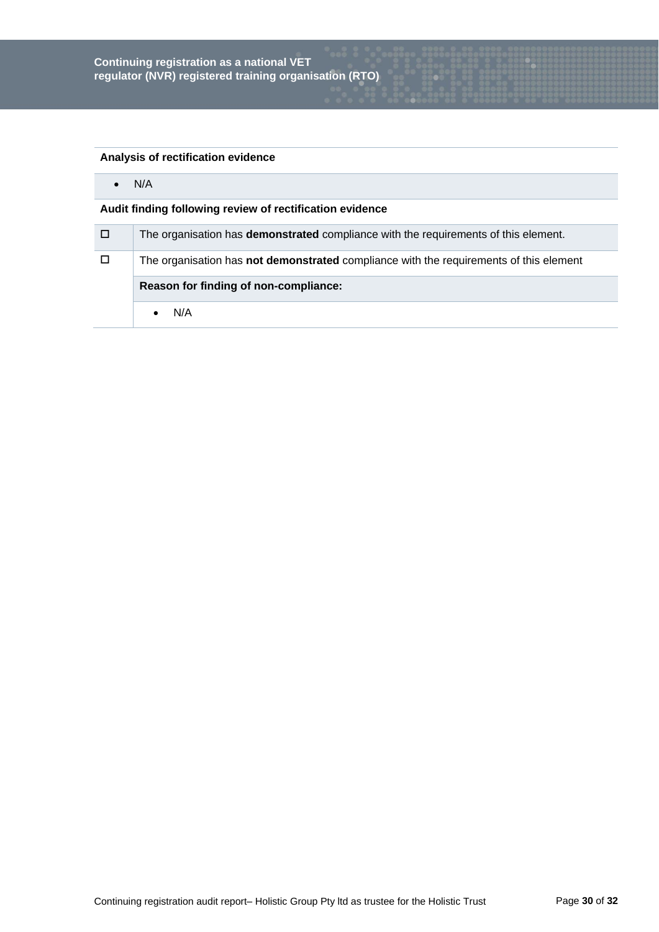# **Analysis of rectification evidence**

 $\bullet$  N/A

| / D/   | The organisation has <b>demonstrated</b> compliance with the requirements of this element. |
|--------|--------------------------------------------------------------------------------------------|
| $\Box$ | The organisation has not demonstrated compliance with the requirements of this element     |
|        | Reason for finding of non-compliance:                                                      |
|        | N/A                                                                                        |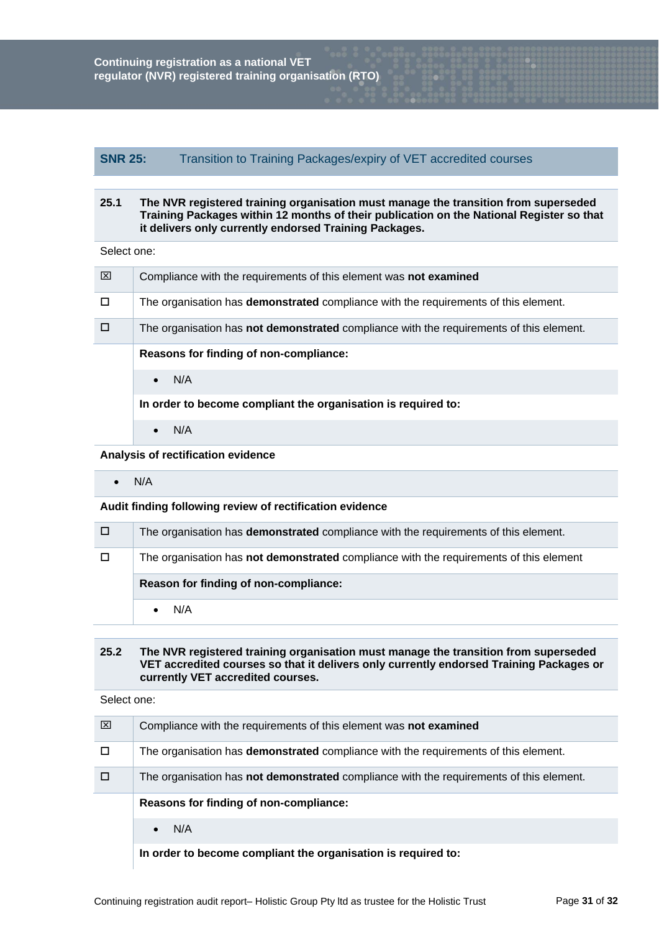# **SNR 25:** Transition to Training Packages/expiry of VET accredited courses

#### **25.1 The NVR registered training organisation must manage the transition from superseded Training Packages within 12 months of their publication on the National Register so that it delivers only currently endorsed Training Packages.**

Select one:

| ⊠ | Compliance with the requirements of this element was not examined                              |
|---|------------------------------------------------------------------------------------------------|
| П | The organisation has <b>demonstrated</b> compliance with the requirements of this element.     |
|   | The organisation has <b>not demonstrated</b> compliance with the requirements of this element. |
|   | Reasons for finding of non-compliance:                                                         |
|   | N/A<br>$\bullet$                                                                               |
|   | In order to become compliant the organisation is required to:                                  |
|   | N/A<br>$\bullet$                                                                               |

## **Analysis of rectification evidence**

 $\bullet$  N/A

#### **Audit finding following review of rectification evidence**

| $\Box$ | The organisation has <b>demonstrated</b> compliance with the requirements of this element. |
|--------|--------------------------------------------------------------------------------------------|
| $\Box$ | The organisation has not demonstrated compliance with the requirements of this element     |
|        |                                                                                            |
|        | Reason for finding of non-compliance:                                                      |

## **25.2 The NVR registered training organisation must manage the transition from superseded VET accredited courses so that it delivers only currently endorsed Training Packages or currently VET accredited courses.**

| ⊠ | Compliance with the requirements of this element was not examined                              |
|---|------------------------------------------------------------------------------------------------|
|   | The organisation has <b>demonstrated</b> compliance with the requirements of this element.     |
|   | The organisation has <b>not demonstrated</b> compliance with the requirements of this element. |
|   | Reasons for finding of non-compliance:                                                         |
|   | N/A<br>$\bullet$                                                                               |
|   |                                                                                                |